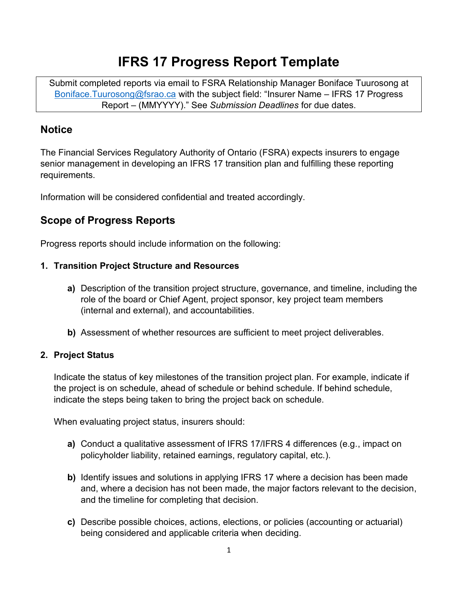# **IFRS 17 Progress Report Template**

Submit completed reports via email to FSRA Relationship Manager Boniface Tuurosong at [Boniface.Tuurosong@fsrao.ca](mailto:Boniface.Tuurosong@fsrao.ca) with the subject field: "Insurer Name – IFRS 17 Progress Report – (MMYYYY)." See *Submission Deadlines* for due dates.

# **Notice**

The Financial Services Regulatory Authority of Ontario (FSRA) expects insurers to engage senior management in developing an IFRS 17 transition plan and fulfilling these reporting requirements.

Information will be considered confidential and treated accordingly.

# **Scope of Progress Reports**

Progress reports should include information on the following:

#### **1. Transition Project Structure and Resources**

- **a)** Description of the transition project structure, governance, and timeline, including the role of the board or Chief Agent, project sponsor, key project team members (internal and external), and accountabilities.
- **b)** Assessment of whether resources are sufficient to meet project deliverables.

### **2. Project Status**

Indicate the status of key milestones of the transition project plan. For example, indicate if the project is on schedule, ahead of schedule or behind schedule. If behind schedule, indicate the steps being taken to bring the project back on schedule.

When evaluating project status, insurers should:

- **a)** Conduct a qualitative assessment of IFRS 17/IFRS 4 differences (e.g., impact on policyholder liability, retained earnings, regulatory capital, etc.).
- **b)** Identify issues and solutions in applying IFRS 17 where a decision has been made and, where a decision has not been made, the major factors relevant to the decision, and the timeline for completing that decision.
- **c)** Describe possible choices, actions, elections, or policies (accounting or actuarial) being considered and applicable criteria when deciding.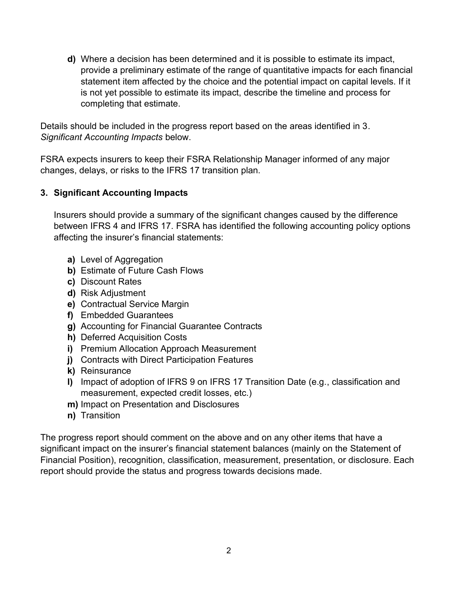**d)** Where a decision has been determined and it is possible to estimate its impact, provide a preliminary estimate of the range of quantitative impacts for each financial statement item affected by the choice and the potential impact on capital levels. If it is not yet possible to estimate its impact, describe the timeline and process for completing that estimate.

Details should be included in the progress report based on the areas identified in 3. *Significant Accounting Impacts* below.

FSRA expects insurers to keep their FSRA Relationship Manager informed of any major changes, delays, or risks to the IFRS 17 transition plan.

#### **3. Significant Accounting Impacts**

Insurers should provide a summary of the significant changes caused by the difference between IFRS 4 and IFRS 17. FSRA has identified the following accounting policy options affecting the insurer's financial statements:

- **a)** Level of Aggregation
- **b)** Estimate of Future Cash Flows
- **c)** Discount Rates
- **d)** Risk Adjustment
- **e)** Contractual Service Margin
- **f)** Embedded Guarantees
- **g)** Accounting for Financial Guarantee Contracts
- **h)** Deferred Acquisition Costs
- **i)** Premium Allocation Approach Measurement
- **j)** Contracts with Direct Participation Features
- **k)** Reinsurance
- **l)** Impact of adoption of IFRS 9 on IFRS 17 Transition Date (e.g., classification and measurement, expected credit losses, etc.)
- **m)** Impact on Presentation and Disclosures
- **n)** Transition

The progress report should comment on the above and on any other items that have a significant impact on the insurer's financial statement balances (mainly on the Statement of Financial Position), recognition, classification, measurement, presentation, or disclosure. Each report should provide the status and progress towards decisions made.